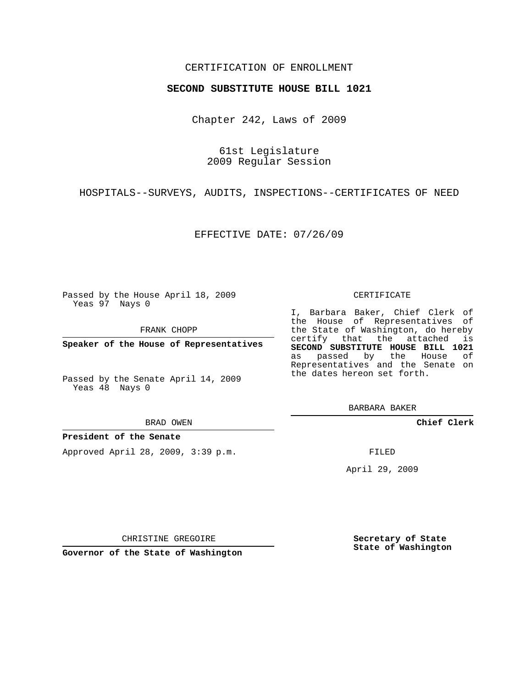## CERTIFICATION OF ENROLLMENT

### **SECOND SUBSTITUTE HOUSE BILL 1021**

Chapter 242, Laws of 2009

61st Legislature 2009 Regular Session

HOSPITALS--SURVEYS, AUDITS, INSPECTIONS--CERTIFICATES OF NEED

EFFECTIVE DATE: 07/26/09

Passed by the House April 18, 2009 Yeas 97 Nays 0

FRANK CHOPP

**Speaker of the House of Representatives**

Passed by the Senate April 14, 2009 Yeas 48 Nays 0

BRAD OWEN

### **President of the Senate**

Approved April 28, 2009, 3:39 p.m.

#### CERTIFICATE

I, Barbara Baker, Chief Clerk of the House of Representatives of the State of Washington, do hereby certify that the attached is **SECOND SUBSTITUTE HOUSE BILL 1021** as passed by the House of Representatives and the Senate on the dates hereon set forth.

BARBARA BAKER

**Chief Clerk**

FILED

April 29, 2009

CHRISTINE GREGOIRE

**Governor of the State of Washington**

**Secretary of State State of Washington**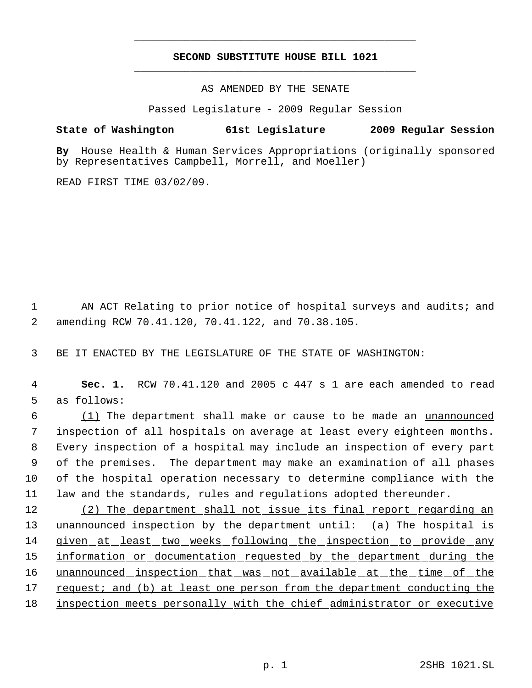# **SECOND SUBSTITUTE HOUSE BILL 1021** \_\_\_\_\_\_\_\_\_\_\_\_\_\_\_\_\_\_\_\_\_\_\_\_\_\_\_\_\_\_\_\_\_\_\_\_\_\_\_\_\_\_\_\_\_

\_\_\_\_\_\_\_\_\_\_\_\_\_\_\_\_\_\_\_\_\_\_\_\_\_\_\_\_\_\_\_\_\_\_\_\_\_\_\_\_\_\_\_\_\_

AS AMENDED BY THE SENATE

Passed Legislature - 2009 Regular Session

# **State of Washington 61st Legislature 2009 Regular Session**

**By** House Health & Human Services Appropriations (originally sponsored by Representatives Campbell, Morrell, and Moeller)

READ FIRST TIME 03/02/09.

1 AN ACT Relating to prior notice of hospital surveys and audits; and 2 amending RCW 70.41.120, 70.41.122, and 70.38.105.

3 BE IT ENACTED BY THE LEGISLATURE OF THE STATE OF WASHINGTON:

 4 **Sec. 1.** RCW 70.41.120 and 2005 c 447 s 1 are each amended to read 5 as follows:

 (1) The department shall make or cause to be made an unannounced inspection of all hospitals on average at least every eighteen months. Every inspection of a hospital may include an inspection of every part of the premises. The department may make an examination of all phases of the hospital operation necessary to determine compliance with the law and the standards, rules and regulations adopted thereunder.

12 (2) The department shall not issue its final report regarding an 13 unannounced inspection by the department until: (a) The hospital is 14 given at least two weeks following the inspection to provide any 15 information or documentation requested by the department during the 16 unannounced inspection that was not available at the time of the 17 request; and (b) at least one person from the department conducting the 18 inspection meets personally with the chief administrator or executive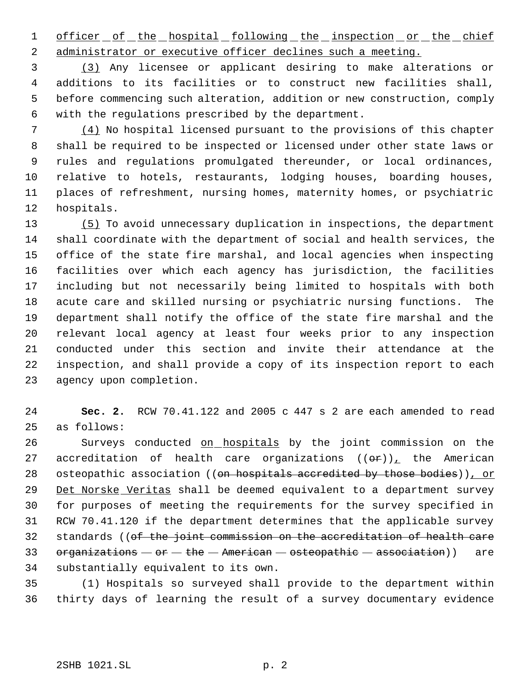1 officer of the hospital following the inspection or the chief administrator or executive officer declines such a meeting.

 (3) Any licensee or applicant desiring to make alterations or additions to its facilities or to construct new facilities shall, before commencing such alteration, addition or new construction, comply with the regulations prescribed by the department.

 (4) No hospital licensed pursuant to the provisions of this chapter shall be required to be inspected or licensed under other state laws or rules and regulations promulgated thereunder, or local ordinances, relative to hotels, restaurants, lodging houses, boarding houses, places of refreshment, nursing homes, maternity homes, or psychiatric hospitals.

 (5) To avoid unnecessary duplication in inspections, the department shall coordinate with the department of social and health services, the office of the state fire marshal, and local agencies when inspecting facilities over which each agency has jurisdiction, the facilities including but not necessarily being limited to hospitals with both acute care and skilled nursing or psychiatric nursing functions. The department shall notify the office of the state fire marshal and the relevant local agency at least four weeks prior to any inspection conducted under this section and invite their attendance at the inspection, and shall provide a copy of its inspection report to each agency upon completion.

 **Sec. 2.** RCW 70.41.122 and 2005 c 447 s 2 are each amended to read as follows:

 Surveys conducted on hospitals by the joint commission on the 27 accreditation of health care organizations  $((\theta \hat{r}))_+$  the American 28 osteopathic association ((on hospitals accredited by those bodies)), or Det Norske Veritas shall be deemed equivalent to a department survey for purposes of meeting the requirements for the survey specified in RCW 70.41.120 if the department determines that the applicable survey standards ((of the joint commission on the accreditation of health care 33 organizations  $-$  or  $-$  the  $-$  American  $-$  osteopathic  $-$  association)) are substantially equivalent to its own.

 (1) Hospitals so surveyed shall provide to the department within thirty days of learning the result of a survey documentary evidence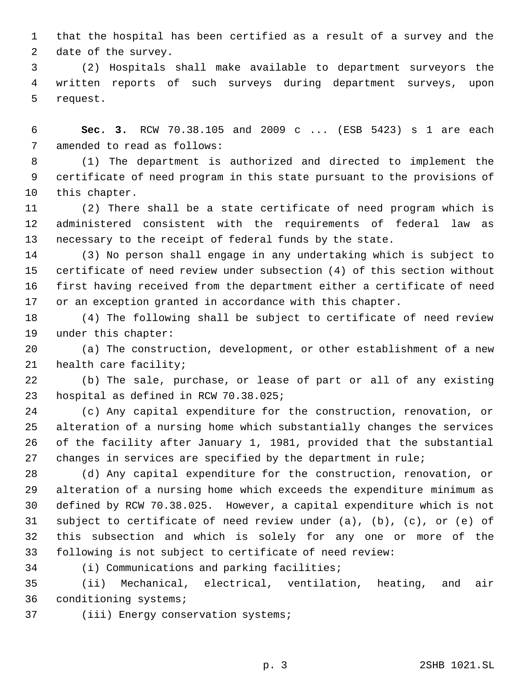that the hospital has been certified as a result of a survey and the date of the survey.

 (2) Hospitals shall make available to department surveyors the written reports of such surveys during department surveys, upon request.

 **Sec. 3.** RCW 70.38.105 and 2009 c ... (ESB 5423) s 1 are each amended to read as follows:

 (1) The department is authorized and directed to implement the certificate of need program in this state pursuant to the provisions of this chapter.

 (2) There shall be a state certificate of need program which is administered consistent with the requirements of federal law as necessary to the receipt of federal funds by the state.

 (3) No person shall engage in any undertaking which is subject to certificate of need review under subsection (4) of this section without first having received from the department either a certificate of need or an exception granted in accordance with this chapter.

 (4) The following shall be subject to certificate of need review under this chapter:

 (a) The construction, development, or other establishment of a new health care facility;

 (b) The sale, purchase, or lease of part or all of any existing hospital as defined in RCW 70.38.025;

 (c) Any capital expenditure for the construction, renovation, or alteration of a nursing home which substantially changes the services of the facility after January 1, 1981, provided that the substantial changes in services are specified by the department in rule;

 (d) Any capital expenditure for the construction, renovation, or alteration of a nursing home which exceeds the expenditure minimum as defined by RCW 70.38.025. However, a capital expenditure which is not subject to certificate of need review under (a), (b), (c), or (e) of this subsection and which is solely for any one or more of the following is not subject to certificate of need review:

(i) Communications and parking facilities;

 (ii) Mechanical, electrical, ventilation, heating, and air conditioning systems;

(iii) Energy conservation systems;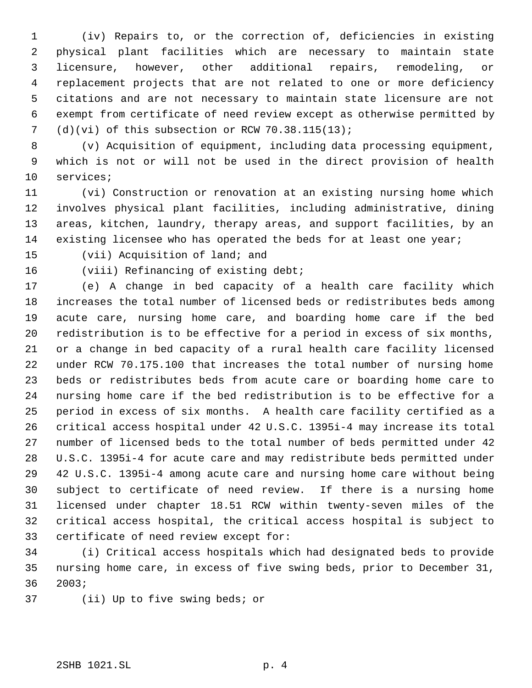(iv) Repairs to, or the correction of, deficiencies in existing physical plant facilities which are necessary to maintain state licensure, however, other additional repairs, remodeling, or replacement projects that are not related to one or more deficiency citations and are not necessary to maintain state licensure are not exempt from certificate of need review except as otherwise permitted by (d)(vi) of this subsection or RCW 70.38.115(13);

 (v) Acquisition of equipment, including data processing equipment, which is not or will not be used in the direct provision of health services;

 (vi) Construction or renovation at an existing nursing home which involves physical plant facilities, including administrative, dining areas, kitchen, laundry, therapy areas, and support facilities, by an existing licensee who has operated the beds for at least one year;

(vii) Acquisition of land; and

(viii) Refinancing of existing debt;

 (e) A change in bed capacity of a health care facility which increases the total number of licensed beds or redistributes beds among acute care, nursing home care, and boarding home care if the bed redistribution is to be effective for a period in excess of six months, or a change in bed capacity of a rural health care facility licensed under RCW 70.175.100 that increases the total number of nursing home beds or redistributes beds from acute care or boarding home care to nursing home care if the bed redistribution is to be effective for a period in excess of six months. A health care facility certified as a critical access hospital under 42 U.S.C. 1395i-4 may increase its total number of licensed beds to the total number of beds permitted under 42 U.S.C. 1395i-4 for acute care and may redistribute beds permitted under 42 U.S.C. 1395i-4 among acute care and nursing home care without being subject to certificate of need review. If there is a nursing home licensed under chapter 18.51 RCW within twenty-seven miles of the critical access hospital, the critical access hospital is subject to certificate of need review except for:

 (i) Critical access hospitals which had designated beds to provide nursing home care, in excess of five swing beds, prior to December 31, 2003;

(ii) Up to five swing beds; or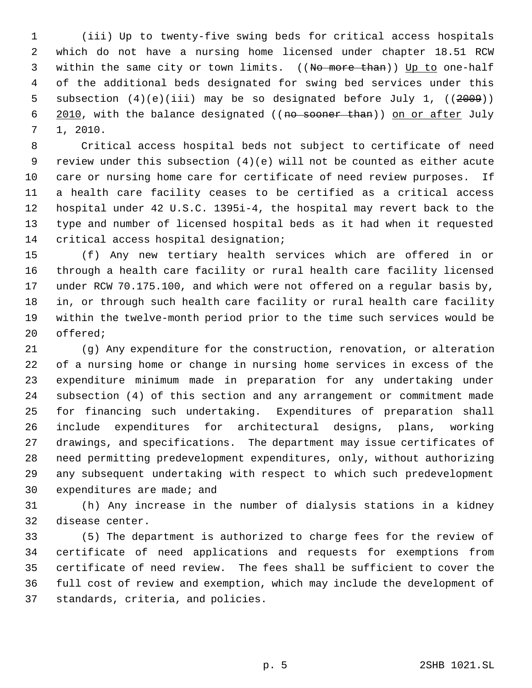(iii) Up to twenty-five swing beds for critical access hospitals which do not have a nursing home licensed under chapter 18.51 RCW 3 within the same city or town limits. ((No more than)) Up to one-half of the additional beds designated for swing bed services under this 5 subsection (4)(e)(iii) may be so designated before July 1, ((2009)) 6 2010, with the balance designated ((no sooner than)) on or after July 1, 2010.

 Critical access hospital beds not subject to certificate of need review under this subsection (4)(e) will not be counted as either acute care or nursing home care for certificate of need review purposes. If a health care facility ceases to be certified as a critical access hospital under 42 U.S.C. 1395i-4, the hospital may revert back to the type and number of licensed hospital beds as it had when it requested critical access hospital designation;

 (f) Any new tertiary health services which are offered in or through a health care facility or rural health care facility licensed under RCW 70.175.100, and which were not offered on a regular basis by, in, or through such health care facility or rural health care facility within the twelve-month period prior to the time such services would be offered;

 (g) Any expenditure for the construction, renovation, or alteration of a nursing home or change in nursing home services in excess of the expenditure minimum made in preparation for any undertaking under subsection (4) of this section and any arrangement or commitment made for financing such undertaking. Expenditures of preparation shall include expenditures for architectural designs, plans, working drawings, and specifications. The department may issue certificates of need permitting predevelopment expenditures, only, without authorizing any subsequent undertaking with respect to which such predevelopment expenditures are made; and

 (h) Any increase in the number of dialysis stations in a kidney disease center.

 (5) The department is authorized to charge fees for the review of certificate of need applications and requests for exemptions from certificate of need review. The fees shall be sufficient to cover the full cost of review and exemption, which may include the development of standards, criteria, and policies.